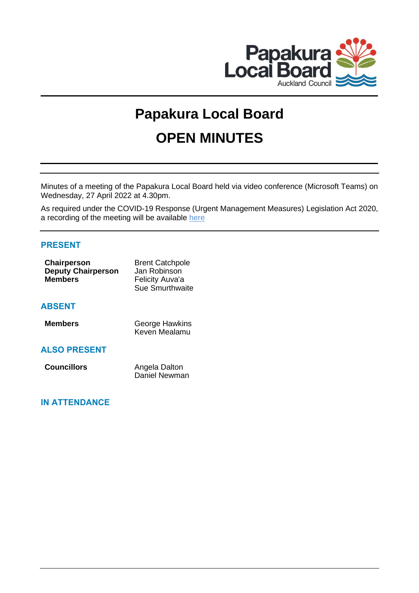

# **Papakura Local Board OPEN MINUTES**

Minutes of a meeting of the Papakura Local Board held via video conference (Microsoft Teams) on Wednesday, 27 April 2022 at 4.30pm.

As required under the COVID-19 Response (Urgent Management Measures) Legislation Act 2020, a recording of the meeting will be available [here](https://www.aucklandcouncil.govt.nz/about-auckland-council/how-auckland-council-works/meetings-council-bodies/Pages/webcasts-council-meetings.aspx)

## **PRESENT**

| <b>Chairperson</b>        | <b>Brent Catchpole</b> |
|---------------------------|------------------------|
| <b>Deputy Chairperson</b> | Jan Robinson           |
| <b>Members</b>            | Felicity Auva'a        |
|                           | Sue Smurthwaite        |
|                           |                        |

## **ABSENT**

| <b>Members</b> | <b>George Hawkins</b> |
|----------------|-----------------------|
|                | Keven Mealamu         |

## **ALSO PRESENT**

| <b>Councillors</b> | Angela Dalton |
|--------------------|---------------|
|                    | Daniel Newman |

## **IN ATTENDANCE**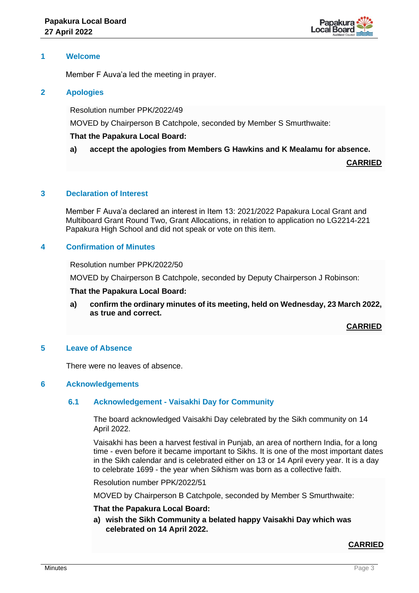

## **1 Welcome**

Member F Auva'a led the meeting in prayer.

## **2 Apologies**

Resolution number PPK/2022/49

MOVED by Chairperson B Catchpole, seconded by Member S Smurthwaite:

## **That the Papakura Local Board:**

#### **a) accept the apologies from Members G Hawkins and K Mealamu for absence.**

**CARRIED**

## **3 Declaration of Interest**

Member F Auva'a declared an interest in Item 13: 2021/2022 Papakura Local Grant and Multiboard Grant Round Two, Grant Allocations, in relation to application no LG2214-221 Papakura High School and did not speak or vote on this item.

## **4 Confirmation of Minutes**

Resolution number PPK/2022/50

MOVED by Chairperson B Catchpole, seconded by Deputy Chairperson J Robinson:

#### **That the Papakura Local Board:**

**a) confirm the ordinary minutes of its meeting, held on Wednesday, 23 March 2022, as true and correct.**

**CARRIED**

#### **5 Leave of Absence**

There were no leaves of absence.

## **6 Acknowledgements**

#### **6.1 Acknowledgement - Vaisakhi Day for Community**

The board acknowledged Vaisakhi Day celebrated by the Sikh community on 14 April 2022.

Vaisakhi has been a harvest festival in Punjab, an area of northern India, for a long time - even before it became important to Sikhs. It is one of the most important dates in the Sikh calendar and is celebrated either on 13 or 14 April every year. It is a day to celebrate 1699 - the year when Sikhism was born as a collective faith.

Resolution number PPK/2022/51

MOVED by Chairperson B Catchpole, seconded by Member S Smurthwaite:

#### **That the Papakura Local Board:**

**a) wish the Sikh Community a belated happy Vaisakhi Day which was celebrated on 14 April 2022.**

#### **CARRIED**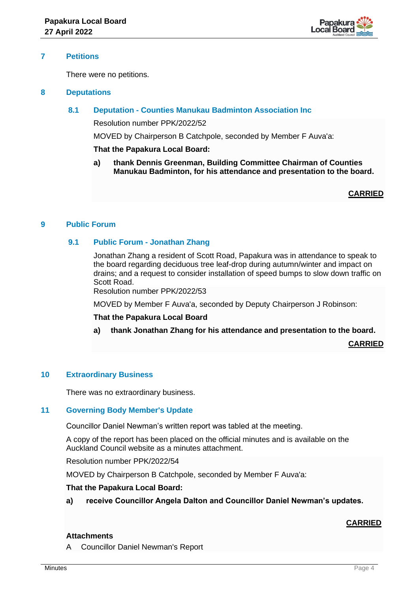

## **7 Petitions**

There were no petitions.

#### **8 Deputations**

## **8.1 Deputation - Counties Manukau Badminton Association Inc**

Resolution number PPK/2022/52

MOVED by Chairperson B Catchpole, seconded by Member F Auva'a:

## **That the Papakura Local Board:**

**a) thank Dennis Greenman, Building Committee Chairman of Counties Manukau Badminton, for his attendance and presentation to the board.**

**CARRIED**

## **9 Public Forum**

## **9.1 Public Forum - Jonathan Zhang**

Jonathan Zhang a resident of Scott Road, Papakura was in attendance to speak to the board regarding deciduous tree leaf-drop during autumn/winter and impact on drains; and a request to consider installation of speed bumps to slow down traffic on Scott Road.

Resolution number PPK/2022/53

MOVED by Member F Auva'a, seconded by Deputy Chairperson J Robinson:

#### **That the Papakura Local Board**

**a) thank Jonathan Zhang for his attendance and presentation to the board.**

**CARRIED**

## **10 Extraordinary Business**

There was no extraordinary business.

## **11 Governing Body Member's Update**

Councillor Daniel Newman's written report was tabled at the meeting.

A copy of the report has been placed on the official minutes and is available on the Auckland Council website as a minutes attachment.

Resolution number PPK/2022/54

MOVED by Chairperson B Catchpole, seconded by Member F Auva'a:

#### **That the Papakura Local Board:**

**a) receive Councillor Angela Dalton and Councillor Daniel Newman's updates.**

## **CARRIED**

## **Attachments**

A Councillor Daniel Newman's Report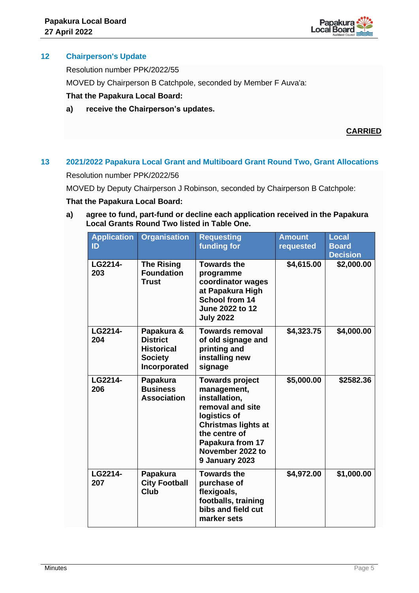

## **12 Chairperson's Update**

Resolution number PPK/2022/55

MOVED by Chairperson B Catchpole, seconded by Member F Auva'a:

## **That the Papakura Local Board:**

**a) receive the Chairperson's updates.**

## **CARRIED**

# **13 2021/2022 Papakura Local Grant and Multiboard Grant Round Two, Grant Allocations**

Resolution number PPK/2022/56

MOVED by Deputy Chairperson J Robinson, seconded by Chairperson B Catchpole:

## **That the Papakura Local Board:**

**a) agree to fund, part-fund or decline each application received in the Papakura Local Grants Round Two listed in Table One.**

| <b>Application</b><br>ID | <b>Organisation</b>                                                                  | <b>Requesting</b><br>funding for                                                                                                                                                                    | <b>Amount</b><br>requested | <b>Local</b><br><b>Board</b><br><b>Decision</b> |
|--------------------------|--------------------------------------------------------------------------------------|-----------------------------------------------------------------------------------------------------------------------------------------------------------------------------------------------------|----------------------------|-------------------------------------------------|
| LG2214-<br>203           | <b>The Rising</b><br><b>Foundation</b><br>Trust                                      | <b>Towards the</b><br>programme<br>coordinator wages<br>at Papakura High<br><b>School from 14</b><br>June 2022 to 12<br><b>July 2022</b>                                                            | \$4,615.00                 | \$2,000.00                                      |
| LG2214-<br>204           | Papakura &<br><b>District</b><br><b>Historical</b><br><b>Society</b><br>Incorporated | <b>Towards removal</b><br>of old signage and<br>printing and<br>installing new<br>signage                                                                                                           | \$4,323.75                 | \$4,000.00                                      |
| LG2214-<br>206           | Papakura<br><b>Business</b><br><b>Association</b>                                    | <b>Towards project</b><br>management,<br>installation,<br>removal and site<br>logistics of<br><b>Christmas lights at</b><br>the centre of<br>Papakura from 17<br>November 2022 to<br>9 January 2023 | \$5,000.00                 | \$2582.36                                       |
| LG2214-<br>207           | Papakura<br><b>City Football</b><br>Club                                             | <b>Towards the</b><br>purchase of<br>flexigoals,<br>footballs, training<br>bibs and field cut<br>marker sets                                                                                        | \$4,972.00                 | \$1,000.00                                      |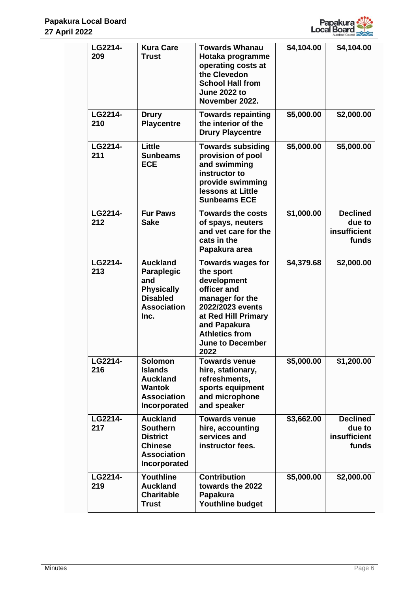

| LG2214-<br>209 | <b>Kura Care</b><br><b>Trust</b>                                                                              | <b>Towards Whanau</b>                                                                                                                                                                                         | \$4,104.00 | \$4,104.00                                         |
|----------------|---------------------------------------------------------------------------------------------------------------|---------------------------------------------------------------------------------------------------------------------------------------------------------------------------------------------------------------|------------|----------------------------------------------------|
|                |                                                                                                               | Hotaka programme<br>operating costs at<br>the Clevedon<br><b>School Hall from</b><br><b>June 2022 to</b><br>November 2022.                                                                                    |            |                                                    |
| LG2214-<br>210 | <b>Drury</b><br><b>Playcentre</b>                                                                             | <b>Towards repainting</b><br>the interior of the<br><b>Drury Playcentre</b>                                                                                                                                   | \$5,000.00 | \$2,000.00                                         |
| LG2214-<br>211 | Little<br><b>Sunbeams</b><br><b>ECE</b>                                                                       | <b>Towards subsiding</b><br>provision of pool<br>and swimming<br>instructor to<br>provide swimming<br><b>lessons at Little</b><br><b>Sunbeams ECE</b>                                                         | \$5,000.00 | \$5,000.00                                         |
| LG2214-<br>212 | <b>Fur Paws</b><br><b>Sake</b>                                                                                | <b>Towards the costs</b><br>of spays, neuters<br>and vet care for the<br>cats in the<br>Papakura area                                                                                                         | \$1,000.00 | <b>Declined</b><br>due to<br>insufficient<br>funds |
| LG2214-<br>213 | <b>Auckland</b><br>Paraplegic<br>and<br><b>Physically</b><br><b>Disabled</b><br><b>Association</b><br>Inc.    | <b>Towards wages for</b><br>the sport<br>development<br>officer and<br>manager for the<br>2022/2023 events<br>at Red Hill Primary<br>and Papakura<br><b>Athletics from</b><br><b>June to December</b><br>2022 | \$4,379.68 | \$2,000.00                                         |
| LG2214-<br>216 | <b>Solomon</b><br><b>Islands</b><br><b>Auckland</b><br><b>Wantok</b><br><b>Association</b><br>Incorporated    | <b>Towards venue</b><br>hire, stationary,<br>refreshments,<br>sports equipment<br>and microphone<br>and speaker                                                                                               | \$5,000.00 | \$1,200.00                                         |
| LG2214-<br>217 | <b>Auckland</b><br><b>Southern</b><br><b>District</b><br><b>Chinese</b><br><b>Association</b><br>Incorporated | <b>Towards venue</b><br>hire, accounting<br>services and<br>instructor fees.                                                                                                                                  | \$3,662.00 | <b>Declined</b><br>due to<br>insufficient<br>funds |
| LG2214-<br>219 | Youthline<br><b>Auckland</b><br><b>Charitable</b><br><b>Trust</b>                                             | <b>Contribution</b><br>towards the 2022<br><b>Papakura</b><br>Youthline budget                                                                                                                                | \$5,000.00 | \$2,000.00                                         |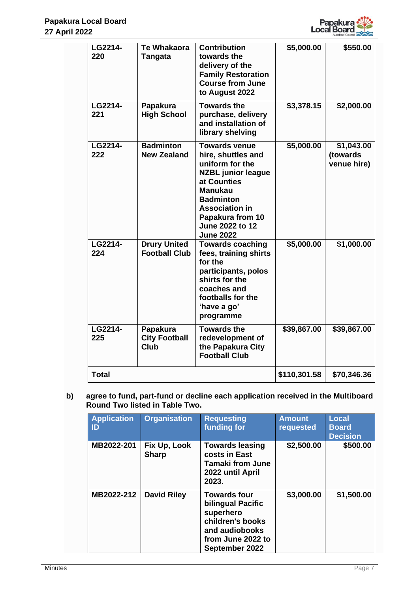

| LG2214-<br>220 | <b>Te Whakaora</b><br>Tangata               | <b>Contribution</b><br>towards the<br>delivery of the<br><b>Family Restoration</b><br><b>Course from June</b><br>to August 2022                                                                                                     | \$5,000.00   | \$550.00                              |
|----------------|---------------------------------------------|-------------------------------------------------------------------------------------------------------------------------------------------------------------------------------------------------------------------------------------|--------------|---------------------------------------|
| LG2214-<br>221 | Papakura<br><b>High School</b>              | <b>Towards the</b><br>purchase, delivery<br>and installation of<br>library shelving                                                                                                                                                 | \$3,378.15   | \$2,000.00                            |
| LG2214-<br>222 | <b>Badminton</b><br><b>New Zealand</b>      | <b>Towards venue</b><br>hire, shuttles and<br>uniform for the<br><b>NZBL</b> junior league<br>at Counties<br><b>Manukau</b><br><b>Badminton</b><br><b>Association in</b><br>Papakura from 10<br>June 2022 to 12<br><b>June 2022</b> | \$5,000.00   | \$1,043.00<br>(towards<br>venue hire) |
| LG2214-<br>224 | <b>Drury United</b><br><b>Football Club</b> | <b>Towards coaching</b><br>fees, training shirts<br>for the<br>participants, polos<br>shirts for the<br>coaches and<br>footballs for the<br>'have a go'<br>programme                                                                | \$5,000.00   | \$1,000.00                            |
| LG2214-<br>225 | Papakura<br><b>City Football</b><br>Club    | <b>Towards the</b><br>redevelopment of<br>the Papakura City<br><b>Football Club</b>                                                                                                                                                 | \$39,867.00  | \$39,867.00                           |
| <b>Total</b>   |                                             |                                                                                                                                                                                                                                     | \$110,301.58 | \$70,346.36                           |

**b) agree to fund, part-fund or decline each application received in the Multiboard Round Two listed in Table Two.**

| <b>Application</b><br>ID | <b>Organisation</b>          | <b>Requesting</b><br>funding for                                                                                                   | <b>Amount</b><br>requested | Local<br><b>Board</b><br><b>Decision</b> |
|--------------------------|------------------------------|------------------------------------------------------------------------------------------------------------------------------------|----------------------------|------------------------------------------|
| MB2022-201               | Fix Up, Look<br><b>Sharp</b> | <b>Towards leasing</b><br>costs in East<br><b>Tamaki from June</b><br>2022 until April<br>2023.                                    | \$2,500.00                 | \$500.00                                 |
| MB2022-212               | <b>David Riley</b>           | <b>Towards four</b><br>bilingual Pacific<br>superhero<br>children's books<br>and audiobooks<br>from June 2022 to<br>September 2022 | \$3,000.00                 | \$1,500.00                               |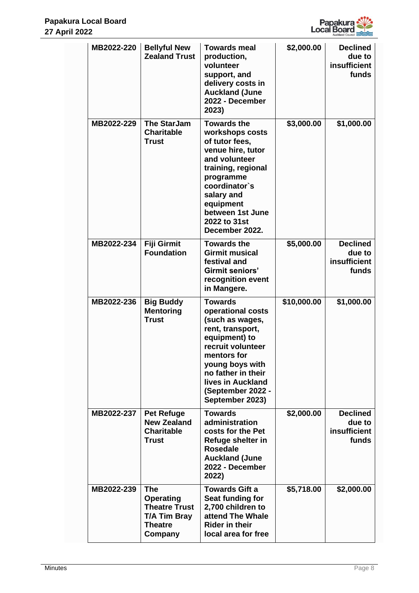

| MB2022-220 | <b>Bellyful New</b><br><b>Zealand Trust</b>                                                         | <b>Towards meal</b><br>production,<br>volunteer<br>support, and<br>delivery costs in<br><b>Auckland (June</b><br>2022 - December<br>2023)                                                                                             | \$2,000.00  | <b>Declined</b><br>due to<br>insufficient<br>funds |
|------------|-----------------------------------------------------------------------------------------------------|---------------------------------------------------------------------------------------------------------------------------------------------------------------------------------------------------------------------------------------|-------------|----------------------------------------------------|
| MB2022-229 | <b>The StarJam</b><br><b>Charitable</b><br><b>Trust</b>                                             | <b>Towards the</b><br>workshops costs<br>of tutor fees,<br>venue hire, tutor<br>and volunteer<br>training, regional<br>programme<br>coordinator's<br>salary and<br>equipment<br>between 1st June<br>2022 to 31st<br>December 2022.    | \$3,000.00  | \$1,000.00                                         |
| MB2022-234 | <b>Fiji Girmit</b><br><b>Foundation</b>                                                             | <b>Towards the</b><br><b>Girmit musical</b><br>festival and<br><b>Girmit seniors'</b><br>recognition event<br>in Mangere.                                                                                                             | \$5,000.00  | <b>Declined</b><br>due to<br>insufficient<br>funds |
| MB2022-236 | <b>Big Buddy</b><br><b>Mentoring</b><br><b>Trust</b>                                                | <b>Towards</b><br>operational costs<br>(such as wages,<br>rent, transport,<br>equipment) to<br>recruit volunteer<br>mentors for<br>young boys with<br>no father in their<br>lives in Auckland<br>(September 2022 -<br>September 2023) | \$10,000.00 | \$1,000.00                                         |
| MB2022-237 | <b>Pet Refuge</b><br><b>New Zealand</b><br><b>Charitable</b><br><b>Trust</b>                        | <b>Towards</b><br>administration<br>costs for the Pet<br>Refuge shelter in<br><b>Rosedale</b><br><b>Auckland (June</b><br>2022 - December<br>2022)                                                                                    | \$2,000.00  | <b>Declined</b><br>due to<br>insufficient<br>funds |
| MB2022-239 | <b>The</b><br>Operating<br><b>Theatre Trust</b><br><b>T/A Tim Bray</b><br><b>Theatre</b><br>Company | <b>Towards Gift a</b><br>Seat funding for<br>2,700 children to<br>attend The Whale<br><b>Rider in their</b><br>local area for free                                                                                                    | \$5,718.00  | \$2,000.00                                         |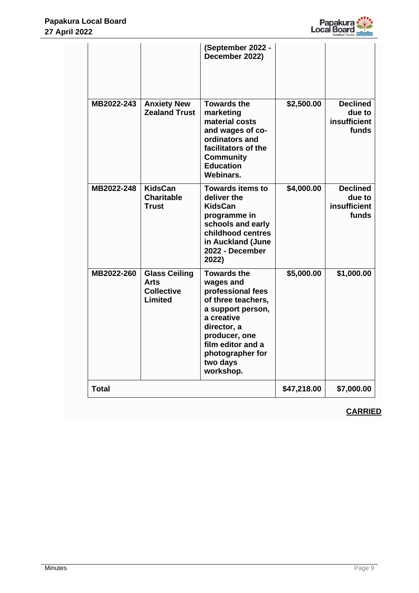

|              |                                                                     | (September 2022 -<br>December 2022)                                                                                                                                                                             |             |                                                    |
|--------------|---------------------------------------------------------------------|-----------------------------------------------------------------------------------------------------------------------------------------------------------------------------------------------------------------|-------------|----------------------------------------------------|
| MB2022-243   | <b>Anxiety New</b><br><b>Zealand Trust</b>                          | <b>Towards the</b><br>marketing<br>material costs<br>and wages of co-<br>ordinators and<br>facilitators of the<br><b>Community</b><br><b>Education</b><br>Webinars.                                             | \$2,500.00  | <b>Declined</b><br>due to<br>insufficient<br>funds |
| MB2022-248   | <b>KidsCan</b><br><b>Charitable</b><br><b>Trust</b>                 | <b>Towards items to</b><br>deliver the<br><b>KidsCan</b><br>programme in<br>schools and early<br>childhood centres<br>in Auckland (June<br>2022 - December<br>2022)                                             | \$4,000.00  | <b>Declined</b><br>due to<br>insufficient<br>funds |
| MB2022-260   | <b>Glass Ceiling</b><br><b>Arts</b><br><b>Collective</b><br>Limited | <b>Towards the</b><br>wages and<br>professional fees<br>of three teachers,<br>a support person,<br>a creative<br>director, a<br>producer, one<br>film editor and a<br>photographer for<br>two days<br>workshop. | \$5,000.00  | \$1,000.00                                         |
| <b>Total</b> |                                                                     |                                                                                                                                                                                                                 | \$47,218.00 | \$7,000.00                                         |

# **CARRIED**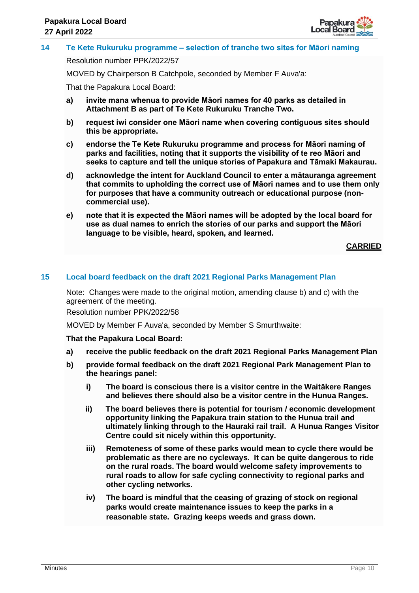

## **14 Te Kete Rukuruku programme – selection of tranche two sites for Māori naming**

Resolution number PPK/2022/57

MOVED by Chairperson B Catchpole, seconded by Member F Auva'a:

That the Papakura Local Board:

- **a) invite mana whenua to provide Māori names for 40 parks as detailed in Attachment B as part of Te Kete Rukuruku Tranche Two.**
- **b) request iwi consider one Māori name when covering contiguous sites should this be appropriate.**
- **c) endorse the Te Kete Rukuruku programme and process for Māori naming of parks and facilities, noting that it supports the visibility of te reo Māori and seeks to capture and tell the unique stories of Papakura and Tāmaki Makaurau.**
- **d) acknowledge the intent for Auckland Council to enter a mātauranga agreement that commits to upholding the correct use of Māori names and to use them only for purposes that have a community outreach or educational purpose (noncommercial use).**
- **e) note that it is expected the Māori names will be adopted by the local board for use as dual names to enrich the stories of our parks and support the Māori language to be visible, heard, spoken, and learned.**

**CARRIED**

## **15 Local board feedback on the draft 2021 Regional Parks Management Plan**

Note: Changes were made to the original motion, amending clause b) and c) with the agreement of the meeting.

Resolution number PPK/2022/58

MOVED by Member F Auva'a, seconded by Member S Smurthwaite:

#### **That the Papakura Local Board:**

- **a) receive the public feedback on the draft 2021 Regional Parks Management Plan**
- **b) provide formal feedback on the draft 2021 Regional Park Management Plan to the hearings panel:**
	- **i) The board is conscious there is a visitor centre in the Waitākere Ranges and believes there should also be a visitor centre in the Hunua Ranges.**
	- **ii) The board believes there is potential for tourism / economic development opportunity linking the Papakura train station to the Hunua trail and ultimately linking through to the Hauraki rail trail. A Hunua Ranges Visitor Centre could sit nicely within this opportunity.**
	- **iii) Remoteness of some of these parks would mean to cycle there would be problematic as there are no cycleways. It can be quite dangerous to ride on the rural roads. The board would welcome safety improvements to rural roads to allow for safe cycling connectivity to regional parks and other cycling networks.**
	- **iv) The board is mindful that the ceasing of grazing of stock on regional parks would create maintenance issues to keep the parks in a reasonable state. Grazing keeps weeds and grass down.**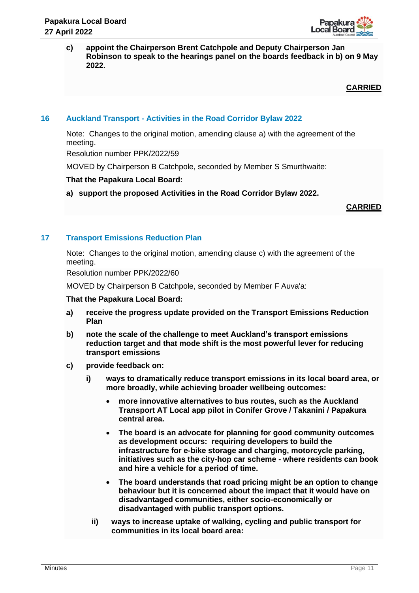

**c) appoint the Chairperson Brent Catchpole and Deputy Chairperson Jan Robinson to speak to the hearings panel on the boards feedback in b) on 9 May 2022.**

**CARRIED**

## **16 Auckland Transport - Activities in the Road Corridor Bylaw 2022**

Note: Changes to the original motion, amending clause a) with the agreement of the meeting.

Resolution number PPK/2022/59

MOVED by Chairperson B Catchpole, seconded by Member S Smurthwaite:

## **That the Papakura Local Board:**

**a) support the proposed Activities in the Road Corridor Bylaw 2022.**

**CARRIED**

## **17 Transport Emissions Reduction Plan**

Note: Changes to the original motion, amending clause c) with the agreement of the meeting.

Resolution number PPK/2022/60

MOVED by Chairperson B Catchpole, seconded by Member F Auva'a:

#### **That the Papakura Local Board:**

- **a) receive the progress update provided on the Transport Emissions Reduction Plan**
- **b) note the scale of the challenge to meet Auckland's transport emissions reduction target and that mode shift is the most powerful lever for reducing transport emissions**
- **c) provide feedback on:**
	- **i) ways to dramatically reduce transport emissions in its local board area, or more broadly, while achieving broader wellbeing outcomes:**
		- **more innovative alternatives to bus routes, such as the Auckland Transport AT Local app pilot in Conifer Grove / Takanini / Papakura central area.**
		- **The board is an advocate for planning for good community outcomes as development occurs: requiring developers to build the infrastructure for e-bike storage and charging, motorcycle parking, initiatives such as the city-hop car scheme - where residents can book and hire a vehicle for a period of time.**
		- **The board understands that road pricing might be an option to change behaviour but it is concerned about the impact that it would have on disadvantaged communities, either socio-economically or disadvantaged with public transport options.**
		- **ii) ways to increase uptake of walking, cycling and public transport for communities in its local board area:**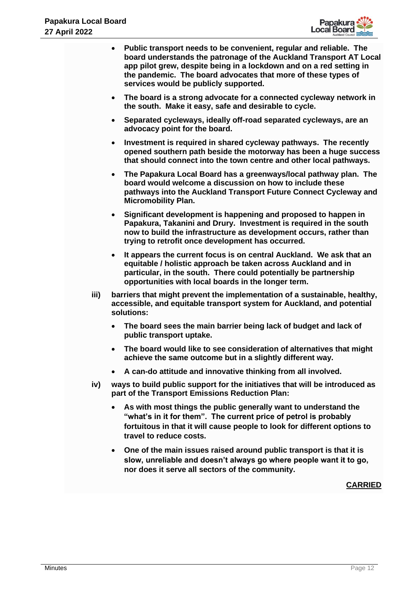

|      | Auckland Council                                                                                                                                                                                                                                                                                                                       |
|------|----------------------------------------------------------------------------------------------------------------------------------------------------------------------------------------------------------------------------------------------------------------------------------------------------------------------------------------|
|      | Public transport needs to be convenient, regular and reliable. The<br>$\bullet$<br>board understands the patronage of the Auckland Transport AT Local<br>app pilot grew, despite being in a lockdown and on a red setting in<br>the pandemic. The board advocates that more of these types of<br>services would be publicly supported. |
|      | The board is a strong advocate for a connected cycleway network in<br>$\bullet$<br>the south. Make it easy, safe and desirable to cycle.                                                                                                                                                                                               |
|      | Separated cycleways, ideally off-road separated cycleways, are an<br>$\bullet$<br>advocacy point for the board.                                                                                                                                                                                                                        |
|      | Investment is required in shared cycleway pathways. The recently<br>$\bullet$<br>opened southern path beside the motorway has been a huge success<br>that should connect into the town centre and other local pathways.                                                                                                                |
|      | The Papakura Local Board has a greenways/local pathway plan. The<br>$\bullet$<br>board would welcome a discussion on how to include these<br>pathways into the Auckland Transport Future Connect Cycleway and<br><b>Micromobility Plan.</b>                                                                                            |
|      | Significant development is happening and proposed to happen in<br>$\bullet$<br>Papakura, Takanini and Drury. Investment is required in the south<br>now to build the infrastructure as development occurs, rather than<br>trying to retrofit once development has occurred.                                                            |
|      | It appears the current focus is on central Auckland. We ask that an<br>$\bullet$<br>equitable / holistic approach be taken across Auckland and in<br>particular, in the south. There could potentially be partnership<br>opportunities with local boards in the longer term.                                                           |
| iii) | barriers that might prevent the implementation of a sustainable, healthy,<br>accessible, and equitable transport system for Auckland, and potential<br>solutions:                                                                                                                                                                      |
|      | The board sees the main barrier being lack of budget and lack of<br>$\bullet$<br>public transport uptake.                                                                                                                                                                                                                              |
|      | The board would like to see consideration of alternatives that might<br>achieve the same outcome but in a slightly different way.                                                                                                                                                                                                      |
|      | A can-do attitude and innovative thinking from all involved.<br>$\bullet$                                                                                                                                                                                                                                                              |
| iv)  | ways to build public support for the initiatives that will be introduced as<br>part of the Transport Emissions Reduction Plan:                                                                                                                                                                                                         |
|      | As with most things the public generally want to understand the<br>"what's in it for them". The current price of petrol is probably<br>fortuitous in that it will cause people to look for different options to<br>travel to reduce costs.                                                                                             |
|      | One of the main issues raised around public transport is that it is<br>$\bullet$<br>slow, unreliable and doesn't always go where people want it to go,<br>nor does it serve all sectors of the community.                                                                                                                              |
|      | <b>CARRIED</b>                                                                                                                                                                                                                                                                                                                         |
|      |                                                                                                                                                                                                                                                                                                                                        |
|      |                                                                                                                                                                                                                                                                                                                                        |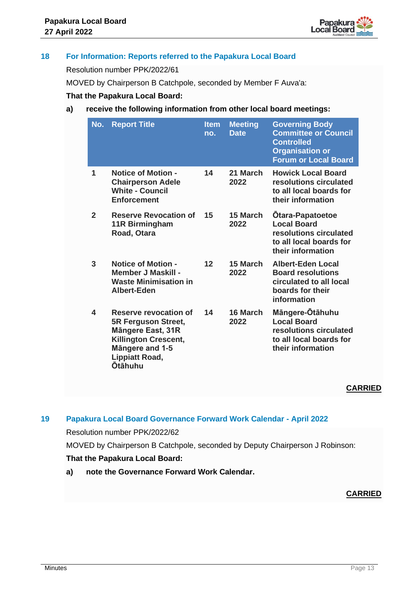

# **18 For Information: Reports referred to the Papakura Local Board**

Resolution number PPK/2022/61

MOVED by Chairperson B Catchpole, seconded by Member F Auva'a:

## **That the Papakura Local Board:**

## **a) receive the following information from other local board meetings:**

| No.          | <b>Report Title</b>                                                                                                                                                   | <b>Item</b><br>no. | <b>Meeting</b><br><b>Date</b> | <b>Governing Body</b><br><b>Committee or Council</b><br><b>Controlled</b><br><b>Organisation or</b><br><b>Forum or Local Board</b> |
|--------------|-----------------------------------------------------------------------------------------------------------------------------------------------------------------------|--------------------|-------------------------------|------------------------------------------------------------------------------------------------------------------------------------|
| 1            | <b>Notice of Motion -</b><br><b>Chairperson Adele</b><br><b>White - Council</b><br><b>Enforcement</b>                                                                 | 14                 | 21 March<br>2022              | <b>Howick Local Board</b><br>resolutions circulated<br>to all local boards for<br>their information                                |
| $\mathbf{2}$ | <b>Reserve Revocation of</b><br>11R Birmingham<br>Road, Otara                                                                                                         | 15                 | 15 March<br>2022              | <b>Otara-Papatoetoe</b><br><b>Local Board</b><br>resolutions circulated<br>to all local boards for<br>their information            |
| 3            | <b>Notice of Motion -</b><br><b>Member J Maskill -</b><br><b>Waste Minimisation in</b><br>Albert-Eden                                                                 | 12                 | 15 March<br>2022              | <b>Albert-Eden Local</b><br><b>Board resolutions</b><br>circulated to all local<br>boards for their<br>information                 |
| 4            | <b>Reserve revocation of</b><br>5R Ferguson Street,<br><b>Mängere East, 31R</b><br><b>Killington Crescent,</b><br>Mängere and 1-5<br>Lippiatt Road,<br><b>Otāhuhu</b> | 14                 | 16 March<br>2022              | Mängere-Ötähuhu<br><b>Local Board</b><br>resolutions circulated<br>to all local boards for<br>their information                    |

## **CARRIED**

#### **19 Papakura Local Board Governance Forward Work Calendar - April 2022**

Resolution number PPK/2022/62

MOVED by Chairperson B Catchpole, seconded by Deputy Chairperson J Robinson: **That the Papakura Local Board:**

**a) note the Governance Forward Work Calendar.**

# **CARRIED**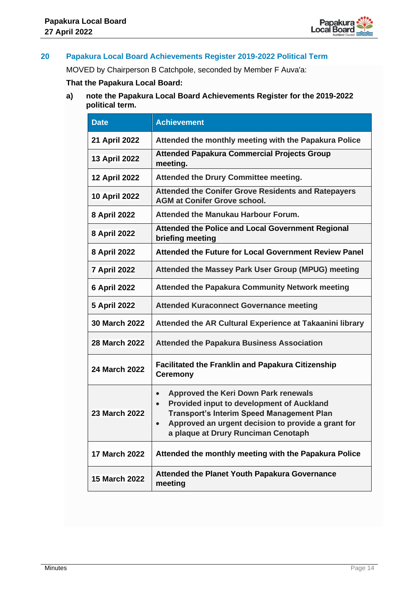

## **20 Papakura Local Board Achievements Register 2019-2022 Political Term**

MOVED by Chairperson B Catchpole, seconded by Member F Auva'a:

# **That the Papakura Local Board:**

**a) note the Papakura Local Board Achievements Register for the 2019-2022 political term.**

| <b>Date</b>          | <b>Achievement</b>                                                                                                                                                                                                                                                         |
|----------------------|----------------------------------------------------------------------------------------------------------------------------------------------------------------------------------------------------------------------------------------------------------------------------|
| 21 April 2022        | Attended the monthly meeting with the Papakura Police                                                                                                                                                                                                                      |
| <b>13 April 2022</b> | <b>Attended Papakura Commercial Projects Group</b><br>meeting.                                                                                                                                                                                                             |
| <b>12 April 2022</b> | Attended the Drury Committee meeting.                                                                                                                                                                                                                                      |
| <b>10 April 2022</b> | <b>Attended the Conifer Grove Residents and Ratepayers</b><br><b>AGM at Conifer Grove school.</b>                                                                                                                                                                          |
| 8 April 2022         | <b>Attended the Manukau Harbour Forum.</b>                                                                                                                                                                                                                                 |
| <b>8 April 2022</b>  | Attended the Police and Local Government Regional<br>briefing meeting                                                                                                                                                                                                      |
| 8 April 2022         | Attended the Future for Local Government Review Panel                                                                                                                                                                                                                      |
| <b>7 April 2022</b>  | Attended the Massey Park User Group (MPUG) meeting                                                                                                                                                                                                                         |
| <b>6 April 2022</b>  | <b>Attended the Papakura Community Network meeting</b>                                                                                                                                                                                                                     |
| <b>5 April 2022</b>  | <b>Attended Kuraconnect Governance meeting</b>                                                                                                                                                                                                                             |
| <b>30 March 2022</b> | Attended the AR Cultural Experience at Takaanini library                                                                                                                                                                                                                   |
| <b>28 March 2022</b> | <b>Attended the Papakura Business Association</b>                                                                                                                                                                                                                          |
| 24 March 2022        | <b>Facilitated the Franklin and Papakura Citizenship</b><br><b>Ceremony</b>                                                                                                                                                                                                |
| <b>23 March 2022</b> | <b>Approved the Keri Down Park renewals</b><br>$\bullet$<br><b>Provided input to development of Auckland</b><br>$\bullet$<br><b>Transport's Interim Speed Management Plan</b><br>Approved an urgent decision to provide a grant for<br>a plaque at Drury Runciman Cenotaph |
| <b>17 March 2022</b> | Attended the monthly meeting with the Papakura Police                                                                                                                                                                                                                      |
| <b>15 March 2022</b> | <b>Attended the Planet Youth Papakura Governance</b><br>meeting                                                                                                                                                                                                            |